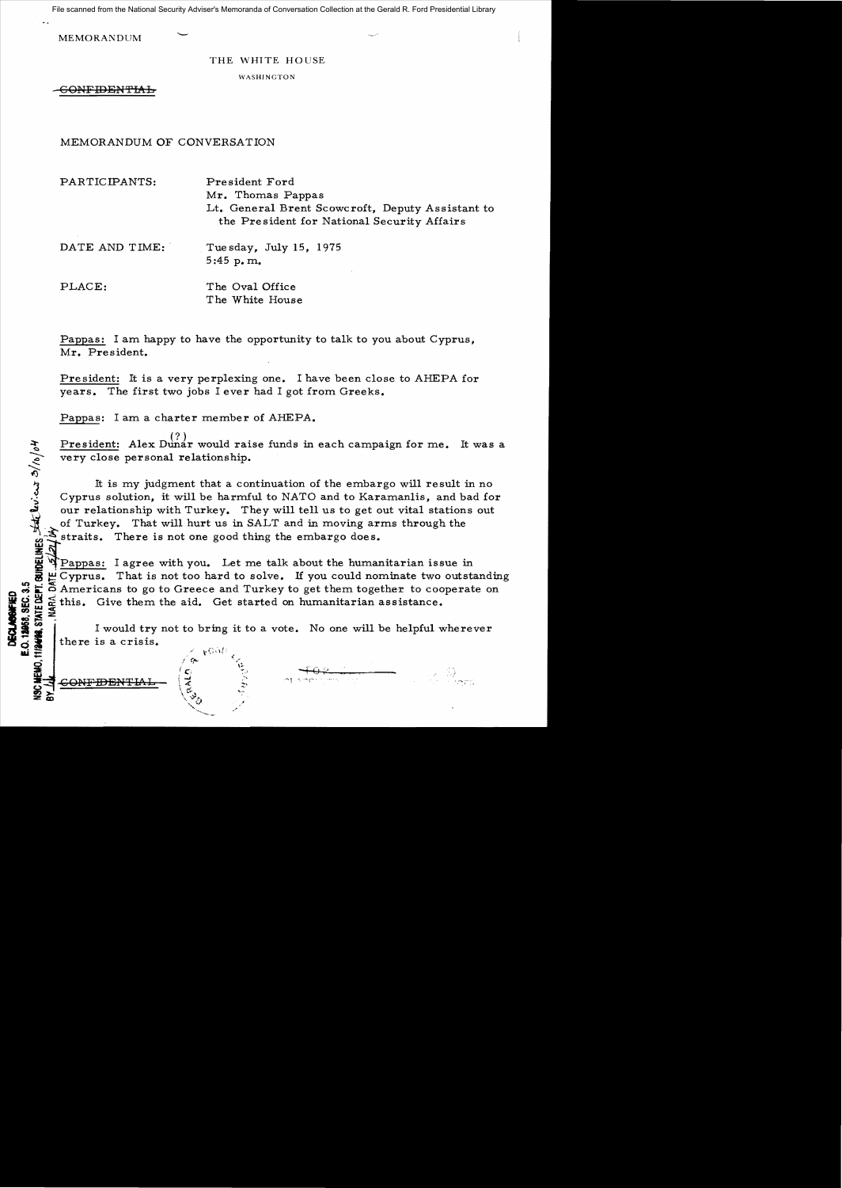File scanned from the National Security Adviser's Memoranda of Conversation Collection at the Gerald R. Ford Presidential Library

MEMORANDUM

THE WHITE HOUSE

WASHINGTON

6<del>0NFIDENTIAL</del>

MEMORANDUM OF CONVERSATION

PARTICIPANTS: President Ford Mr. Thomas Pappas Lt. General Brent Scowcroft, Deputy Assistant to the President for National Security Affairs

DATE AND TIME: Tue sday, July 15, 1975 5:45 p. m..

PLACE: The Oval Office The White House

Pappas: I am happy to have the opportunity to talk to you about Cyprus, Mr. President.

President: It is a very perplexing one. I have been close to AHEPA for years. The first two jobs I ever had I got from Greeks.

Pappas: I am a charter member of AHEPA.

President: Alex Dunar would raise funds in each campaign for me. It was a very close personal relationship.

It is my judgment that a continuation of the embargo will result in no Cyprus solution, it will be harmful to NATO and to Karamanlis, and bad for our relationship with Turkey. They will tell us to get out vital stations out of Turkey. That will hurt us in SALT and in moving arms through the  $\mathcal{F}_{\text{straits.}}$  There is not one good thing the embargo does.

Pappas: I agree with you. Let me talk about the humanitarian issue in Cyprus. That is not too hard to solve. If you could nominate two outstanding Americans to go to Greece and Turkey to get them together to cooperate on  $\Xi$  this. Give them the aid. Get started on humanitarian assistance.  $e^{\frac{1}{2}}$ 

I would try not to bring it to a vote. No one will be helpful wherever  $\begin{array}{c|c|c|c|c} \mathbf{a} & \mathbf{b} & \mathbf{c} & \mathbf{c} & \mathbf{c} & \mathbf{c} & \mathbf{c} & \mathbf{c} & \mathbf{c} & \mathbf{c} \\ \hline \mathbf{c} & \mathbf{d} & \mathbf{c} & \mathbf{c} & \mathbf{c} & \mathbf{c} & \mathbf{c} & \mathbf{c} & \mathbf{c} \\ \hline \mathbf{d} & \mathbf{c} & \mathbf{c} & \mathbf{c} & \mathbf{c} & \mathbf{c} & \mathbf{c} & \mathbf{c} & \mathbf{c} \\ \hline$ 



 $\frac{1}{2}$ 

E.O. 12958, SEC. 3.5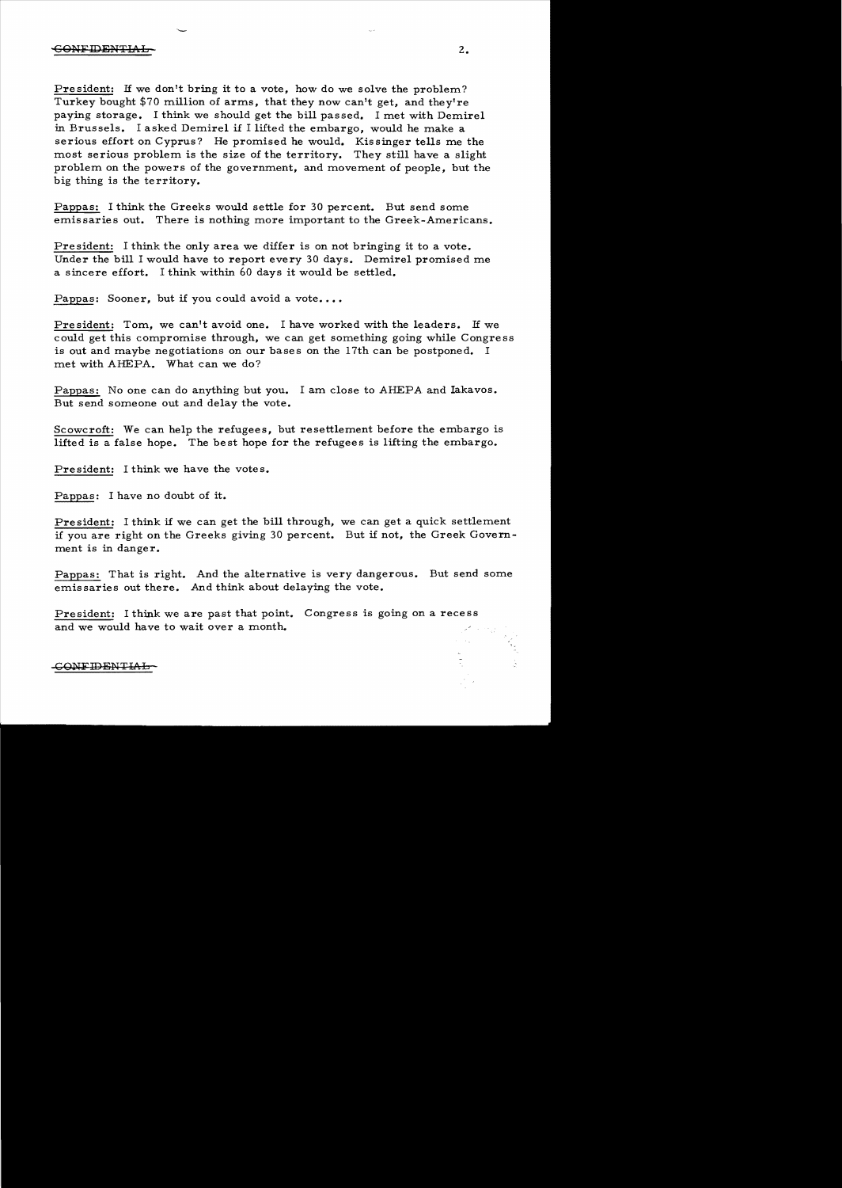President: If we don't bring it to a vote, how do we solve the problem? Turkey bought \$70 million of arms, that they now can't get, and they're paying storage. I think we should get the bill passed. I met with Demirel in Brussels. I asked Demirel if I lifted the embargo, would he make a serious effort on Cyprus? He promised he would. Kissinger tells me the most serious problem is the size of the territory. They still have a slight problem on the powers of the government, and movement of people, but the big thing is the territory.

Pappas: I think the Greeks would settle for 30 percent. But send some emissaries out. There is nothing more important to the Greek-Americans.

President: I think the only area we differ is on not bringing it to a vote. Under the bill I would have to report every 30 days. Demirel promised me a sincere effort. I think within 60 days it would be settled.

Pappas: Sooner, but if you could avoid a vote....

President: Tom, we can't avoid one. I have worked with the leaders. If we could get this compromise through, we can get something going while Congress is out and maybe negotiations on our bases on the 17th can be postponed. I met with AHEPA. What can we do?

Pappas: No one can do anything but you. I am close to AHEPA and Iakavos. But send someone out and delay the vote.

Scowcroft: We can help the refugees, but resettlement before the embargo is lifted is a false hope. The best hope for the refugees is lifting the embargo.

President: I think we have the votes.

Pappas: I have no doubt of it.

President: I think if we can get the bill through, we can get a quick settlement if you are right on the Greeks giving 30 percent. But if not, the Greek Government is in danger.

**Pappas:** That is right. And the alternative is very dangerous. But send some emissaries out there. And think about delaying the vote.

President: I think we are past that point. Congress is going on a recess and we would have to wait over a month.

## CONFIDENTIAL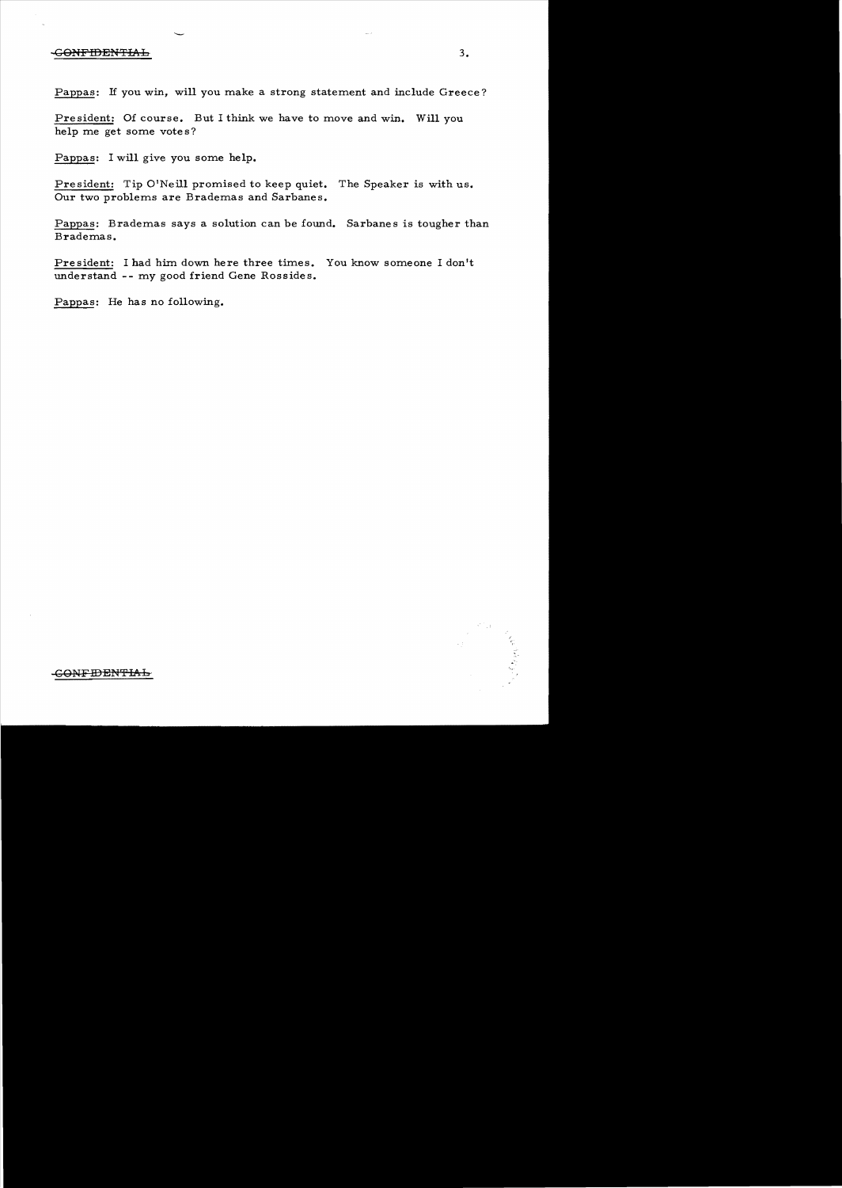## $\overline{S}$  -GONFIDENTIAL 3.

Pappas: If you win, will you make a strong statement and include Greece?

President: Of course. But I think we have to move and win. Will you help me get some vote s?

Pappas: I will give you some help.

President: Tip O'Neill promised to keep quiet. The Speaker is with us. Our two problems are Brademas and Sarbanes.

Pappas: Brademas says a solution can be found. Sarbanes is tougher than Brademas.

President: I had him down here three times. You know someone I don't understand -- my good friend Gene Rossides.

Pappas: He has no following.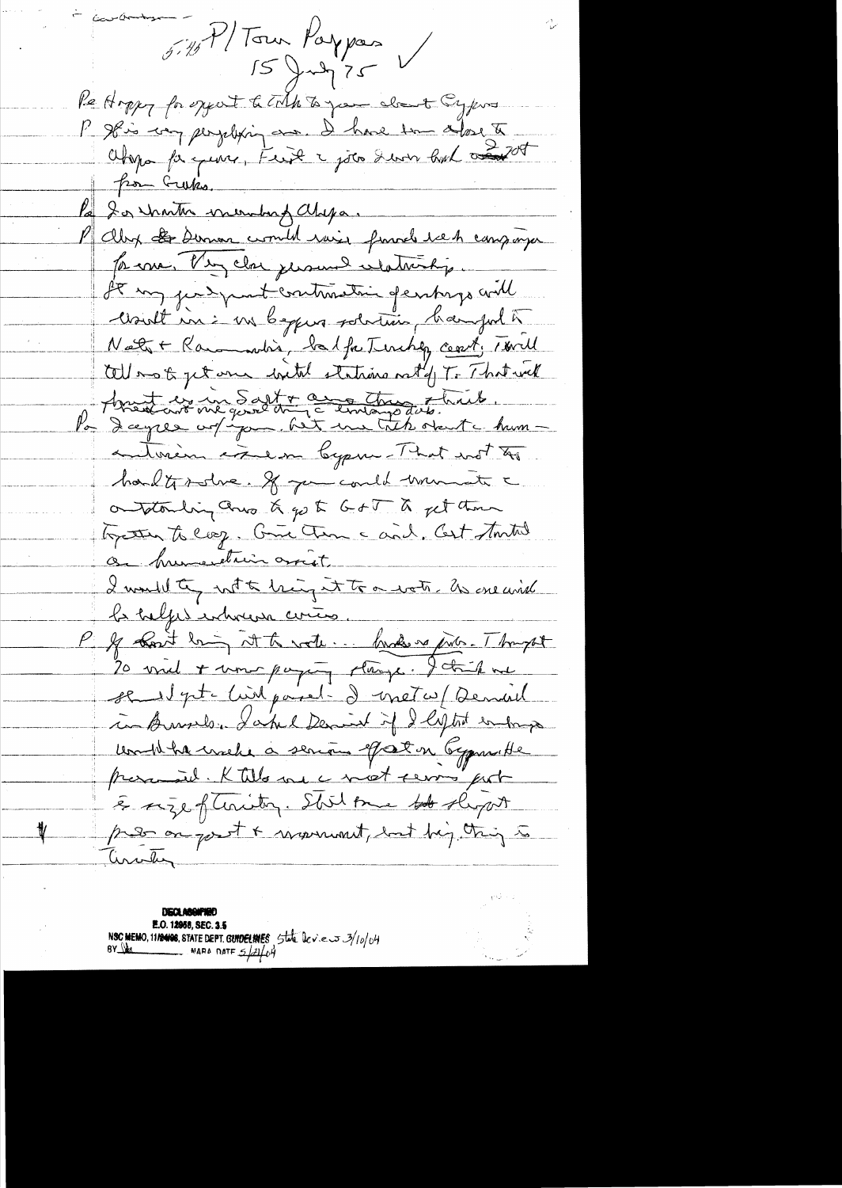$5.75$  P/Town Paypas Re Hoppy for expect to TMA to your cloud Cypins P Ilis ing perjetting aux. D'have tom alors to from Gueks. 20 martin voumbagallaga. P aby to Dumon comment rain franch we heavy mya for me. Very close justin de celativity. It my judgement contrastin gentings and cloudt in : un beggens solution, hanged to Nett + Rammondin, balfaterishey cont, Twill tellement get one chetat stations rated T. That will Assistant de me gard trop d'universitat du . autorien coulon bypan-That not to hadter-dre. If you could trancete a ontacting and & go to GoT & get them Topaten to coop. Come time and, Cert tomtal a humerstrein arriet I would the with highest to a water. In creaned P & Lost lain it to water hands as pilo. Thought 20 viel + um paging classe. I tail ve se et pt crist paral- d'instruction served in Aussile, Lakel Demint if I light endown workbannels a senous of at on Gymnethe preventil. K tills me a meet serves port & size of twiting. Shil one to slep it press on good + mornment, but bey thing to Circular

**DECLABOMARD** E.O. 12958, SEC. 3.5 NSC MEMO, 11/2408, STATE DEPT. GUIDELINES State leves 3/10/04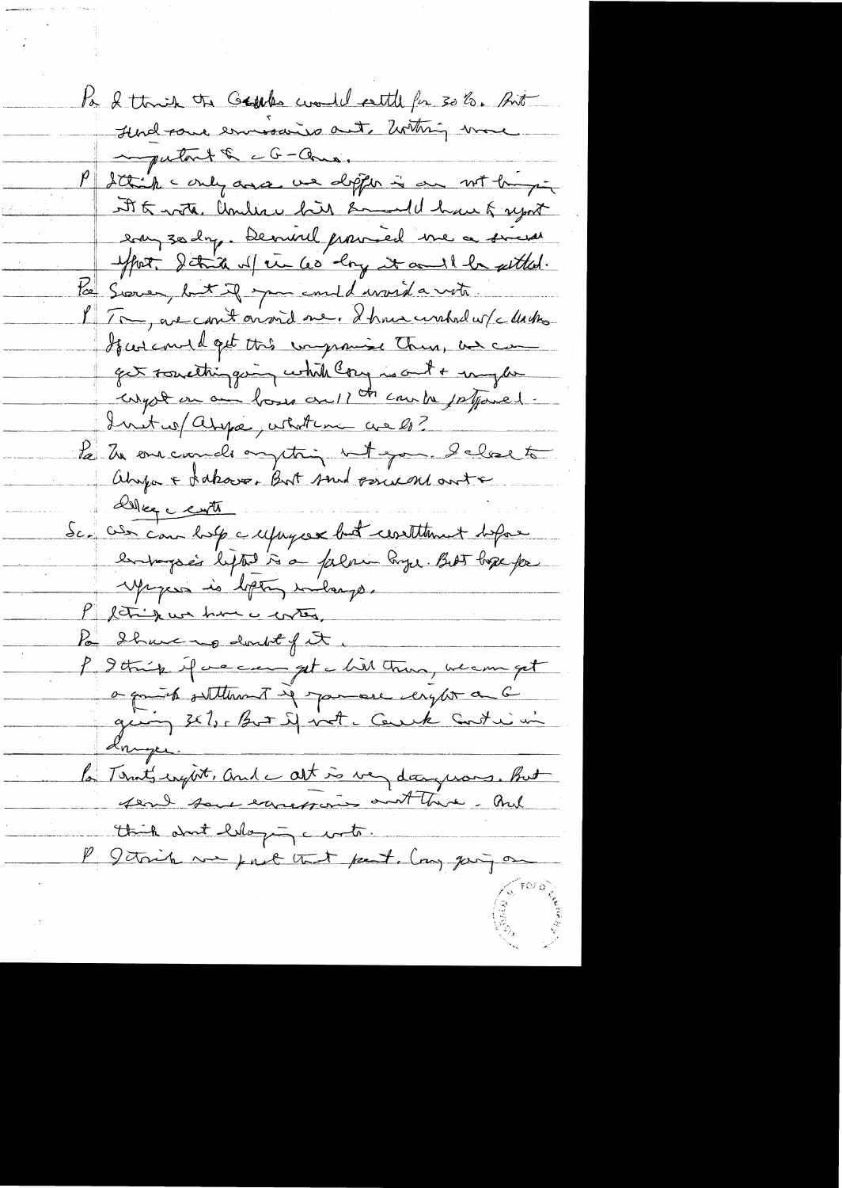Pa & think the Gappes would settle for 30 %. But Hudgare emissine aut metring more impatant & cG-Come. P Sttick conly and we depter is on with my At 5 rote, Under his Emmald have & uport eau 30 day. Demand promised me a sinces effort. Schich up the les long it and i be settled. to Sooner, but if you could word a write PT . avec mit on vid me. I hour unhad w/c dash Guscould get this improving Them, and can get something on while long is out + my low compte on an hours on 11 th country supposed. Inster assigned what we are lo? Le la caractera peting et que le lore to Ahopa + Lakove, But soud pour autre Del centr Sc. also can look a repayax but constituent define entranges lefted à a falme Page. Bet bope for Mages is loton inlarge. P leting was him is conten. Po Share up doubt of it. P Ithing if we can get a bill there, we can get a quint settlement is spaceare engles a 6 giving 3x 1, put if not cancele Contrimi <u>driger.</u> la Térnet inget. And c at is very dangerous. But fend some excessions and there. And think and likeying curto. P Jetoih me pret that part any going on